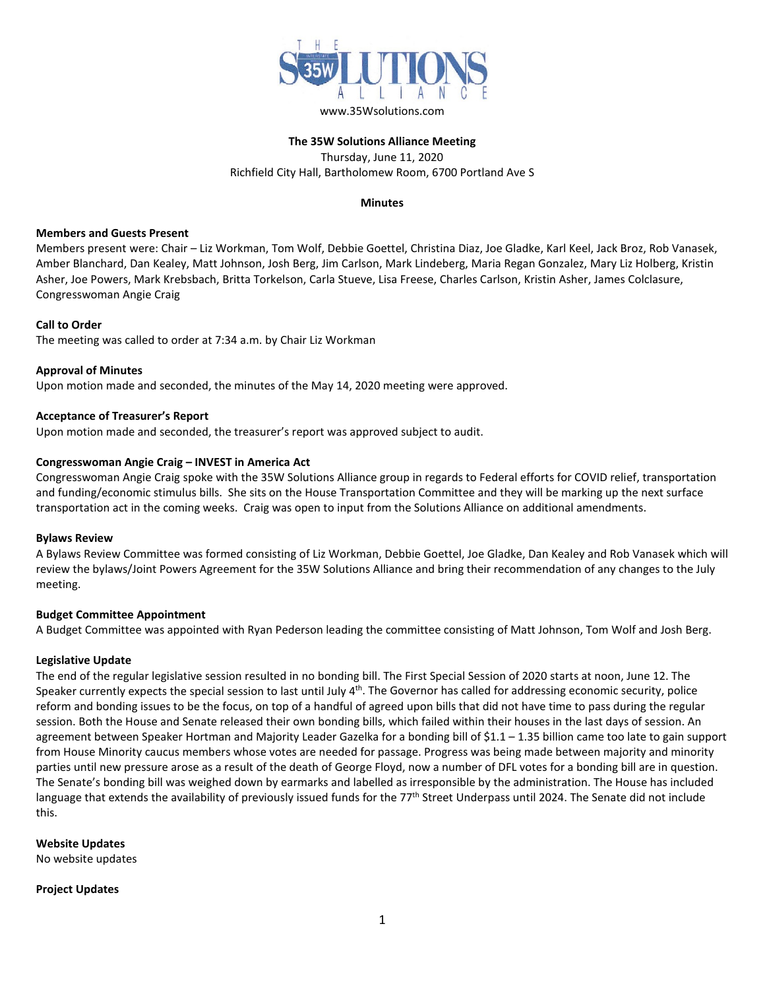

# **The 35W Solutions Alliance Meeting** Thursday, June 11, 2020 Richfield City Hall, Bartholomew Room, 6700 Portland Ave S

### **Minutes**

### **Members and Guests Present**

Members present were: Chair – Liz Workman, Tom Wolf, Debbie Goettel, Christina Diaz, Joe Gladke, Karl Keel, Jack Broz, Rob Vanasek, Amber Blanchard, Dan Kealey, Matt Johnson, Josh Berg, Jim Carlson, Mark Lindeberg, Maria Regan Gonzalez, Mary Liz Holberg, Kristin Asher, Joe Powers, Mark Krebsbach, Britta Torkelson, Carla Stueve, Lisa Freese, Charles Carlson, Kristin Asher, James Colclasure, Congresswoman Angie Craig

# **Call to Order**

The meeting was called to order at 7:34 a.m. by Chair Liz Workman

# **Approval of Minutes**

Upon motion made and seconded, the minutes of the May 14, 2020 meeting were approved.

# **Acceptance of Treasurer's Report**

Upon motion made and seconded, the treasurer's report was approved subject to audit.

# **Congresswoman Angie Craig – INVEST in America Act**

Congresswoman Angie Craig spoke with the 35W Solutions Alliance group in regards to Federal efforts for COVID relief, transportation and funding/economic stimulus bills. She sits on the House Transportation Committee and they will be marking up the next surface transportation act in the coming weeks. Craig was open to input from the Solutions Alliance on additional amendments.

### **Bylaws Review**

A Bylaws Review Committee was formed consisting of Liz Workman, Debbie Goettel, Joe Gladke, Dan Kealey and Rob Vanasek which will review the bylaws/Joint Powers Agreement for the 35W Solutions Alliance and bring their recommendation of any changes to the July meeting.

### **Budget Committee Appointment**

A Budget Committee was appointed with Ryan Pederson leading the committee consisting of Matt Johnson, Tom Wolf and Josh Berg.

### **Legislative Update**

The end of the regular legislative session resulted in no bonding bill. The First Special Session of 2020 starts at noon, June 12. The Speaker currently expects the special session to last until July  $4<sup>th</sup>$ . The Governor has called for addressing economic security, police reform and bonding issues to be the focus, on top of a handful of agreed upon bills that did not have time to pass during the regular session. Both the House and Senate released their own bonding bills, which failed within their houses in the last days of session. An agreement between Speaker Hortman and Majority Leader Gazelka for a bonding bill of \$1.1 – 1.35 billion came too late to gain support from House Minority caucus members whose votes are needed for passage. Progress was being made between majority and minority parties until new pressure arose as a result of the death of George Floyd, now a number of DFL votes for a bonding bill are in question. The Senate's bonding bill was weighed down by earmarks and labelled as irresponsible by the administration. The House has included language that extends the availability of previously issued funds for the 77<sup>th</sup> Street Underpass until 2024. The Senate did not include this.

**Website Updates**

No website updates

### **Project Updates**